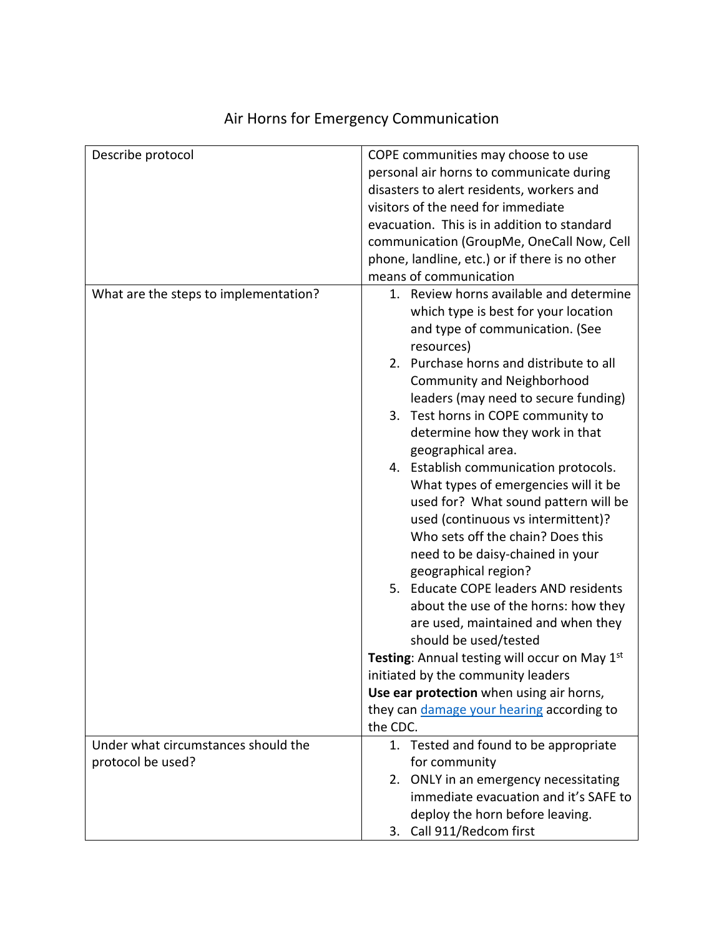| Describe protocol                     | COPE communities may choose to use<br>personal air horns to communicate during  |
|---------------------------------------|---------------------------------------------------------------------------------|
|                                       | disasters to alert residents, workers and                                       |
|                                       | visitors of the need for immediate                                              |
|                                       | evacuation. This is in addition to standard                                     |
|                                       | communication (GroupMe, OneCall Now, Cell                                       |
|                                       | phone, landline, etc.) or if there is no other                                  |
|                                       | means of communication                                                          |
| What are the steps to implementation? | 1. Review horns available and determine<br>which type is best for your location |
|                                       | and type of communication. (See<br>resources)                                   |
|                                       | 2. Purchase horns and distribute to all                                         |
|                                       | <b>Community and Neighborhood</b>                                               |
|                                       | leaders (may need to secure funding)                                            |
|                                       | 3. Test horns in COPE community to                                              |
|                                       | determine how they work in that                                                 |
|                                       | geographical area.                                                              |
|                                       | 4. Establish communication protocols.                                           |
|                                       | What types of emergencies will it be                                            |
|                                       | used for? What sound pattern will be                                            |
|                                       | used (continuous vs intermittent)?                                              |
|                                       | Who sets off the chain? Does this                                               |
|                                       | need to be daisy-chained in your                                                |
|                                       | geographical region?                                                            |
|                                       | 5. Educate COPE leaders AND residents                                           |
|                                       | about the use of the horns: how they                                            |
|                                       | are used, maintained and when they                                              |
|                                       | should be used/tested                                                           |
|                                       | Testing: Annual testing will occur on May 1st                                   |
|                                       | initiated by the community leaders                                              |
|                                       | Use ear protection when using air horns,                                        |
|                                       | they can damage your hearing according to                                       |
|                                       | the CDC.                                                                        |
| Under what circumstances should the   | 1. Tested and found to be appropriate                                           |
| protocol be used?                     | for community                                                                   |
|                                       | 2. ONLY in an emergency necessitating                                           |
|                                       | immediate evacuation and it's SAFE to                                           |
|                                       | deploy the horn before leaving.                                                 |
|                                       | 3. Call 911/Redcom first                                                        |

## Air Horns for Emergency Communication